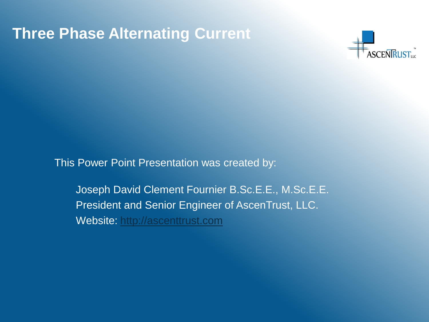

This Power Point Presentation was created by:

Joseph David Clement Fournier B.Sc.E.E., M.Sc.E.E. President and Senior Engineer of AscenTrust, LLC. Website: [http://ascenttrust.com](http://ascenttrust.com/)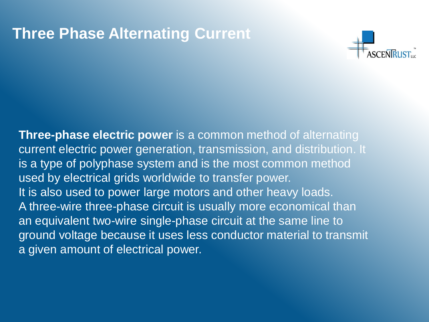

**Three-phase electric power** is a common method of alternating current electric power generation, transmission, and distribution. It is a type of polyphase system and is the most common method used by electrical grids worldwide to transfer power. It is also used to power large motors and other heavy loads. A three-wire three-phase circuit is usually more economical than an equivalent two-wire single-phase circuit at the same line to ground voltage because it uses less conductor material to transmit a given amount of electrical power.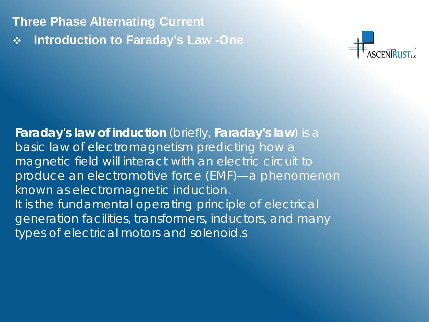**Introduction to Faraday's Law -One**



**Faraday's law of induction** (briefly, **Faraday's law**) is a basic law of electromagnetism predicting how a magnetic field will interact with an electric circuit to produce an electromotive force (EMF)—a phenomenon known as electromagnetic induction. It is the fundamental operating principle of electrical generation facilities, transformers, inductors, and many types of electrical motors and solenoid.s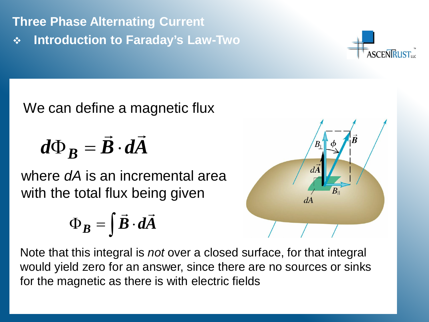**Introduction to Faraday's Law-Two** 



We can define a magnetic flux

$$
d\Phi_B = \vec{B} \cdot d\vec{A}
$$

where *dA* is an incremental area with the total flux being given

$$
\Phi_B = \int \vec{B} \cdot d\vec{A}
$$



Note that this integral is *not* over a closed surface, for that integral would yield zero for an answer, since there are no sources or sinks for the magnetic as there is with electric fields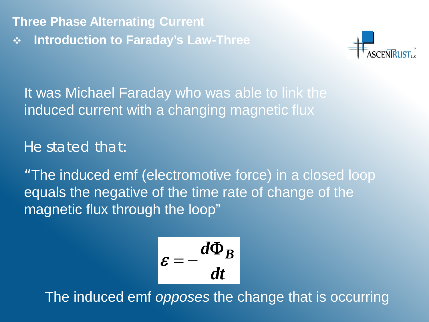**Introduction to Faraday's Law-Three** 



It was Michael Faraday who was able to link the induced current with a changing magnetic flux

He stated that:

"The induced emf (electromotive force) in a closed loop equals the negative of the time rate of change of the magnetic flux through the loop"

$$
\varepsilon=-\frac{d\Phi_B}{dt}
$$

The induced emf *opposes* the change that is occurring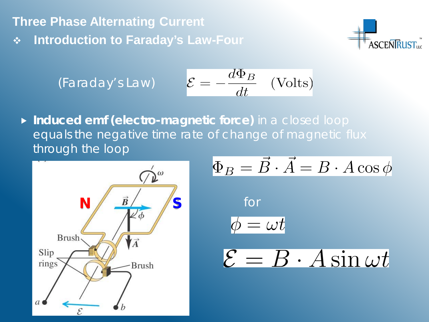**Introduction to Faraday's Law-Four** 



(Faraday's Law) 
$$
\mathcal{E} = -\frac{d\Phi_B}{dt} \quad \text{(Volts)}
$$

**Induced emf (electro-magnetic force)** in a closed loop equals the *negative* time rate of change of magnetic flux through the loop



$$
\Phi_B = \vec{B} \cdot \vec{A} = B \cdot A \cos \phi
$$
  
for  

$$
\phi = \omega t
$$
  

$$
\mathcal{E} = B \cdot A \sin \omega t
$$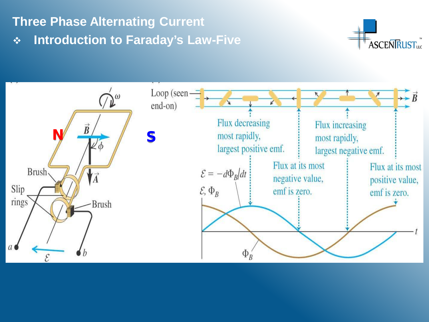### **Introduction to Faraday's Law-Five**



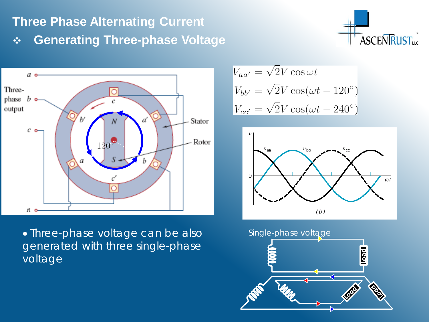## **Three Phase Alternating Current Generating Three-phase Voltage**





• Three-phase voltage can be also generated with three single-phase voltage

$$
V_{aa'} = \sqrt{2V} \cos \omega t
$$
  
\n
$$
V_{bb'} = \sqrt{2V} \cos(\omega t - 120^{\circ})
$$
  
\n
$$
V_{cc'} = \sqrt{2V} \cos(\omega t - 240^{\circ})
$$



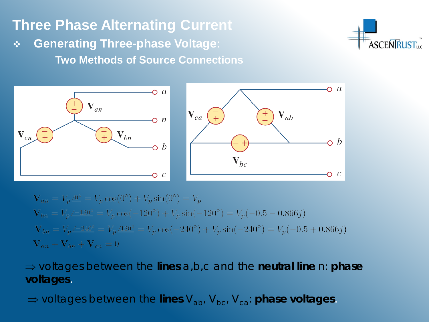### **Generating Three-phase Voltage: Two Methods of Source Connections**





$$
\mathbf{V}_{an} = V_p \underline{\wedge} 0^{\circ} = V_p \cos(0^{\circ}) + V_p \sin(0^{\circ}) = V_p
$$
  
\n
$$
\mathbf{V}_{bn} = V_p \underline{\wedge} 120^{\circ} = V_p \cos(-120^{\circ}) + V_p \sin(-120^{\circ}) = V_p(-0.5 - 0.866j)
$$
  
\n
$$
\mathbf{V}_{bn} = V_p \underline{\wedge} 240^{\circ} = V_p \underline{\wedge} 120^{\circ} = V_p \cos(-240^{\circ}) + V_p \sin(-240^{\circ}) = V_p(-0.5 + 0.866j)
$$
  
\n
$$
\mathbf{V}_{an} + \mathbf{V}_{bn} + \mathbf{V}_{cn} = 0
$$

#### ⇒ voltages between the **lines** a,b,c and the **neutral line** n: **phase voltages**.

⇒ voltages between the **lines** V<sub>ab</sub>, V<sub>bc</sub>, V<sub>ca</sub>: **phase voltages**.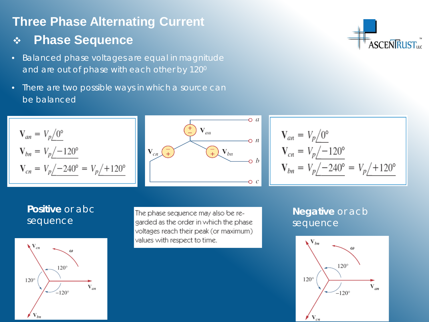### **Phase Sequence**

- Balanced phase voltages are equal in magnitude and are out of phase with each other by 120<sup>0</sup>
- There are two possible ways in which a source can be balanced



$$
\mathbf{V}_{an} = V_p \underline{/0^{\circ}}
$$
  
\n
$$
\mathbf{V}_{cn} = V_p \underline{/ -120^{\circ}}
$$
  
\n
$$
\mathbf{V}_{bn} = V_p \underline{/ -240^{\circ}} = V_p \underline{/ +120^{\circ}}
$$

#### **Positive** or abc sequence

 $V_{cn} = V_p \div 240^\circ = V_p \div 120^\circ$ 

 $V_{an} = V_p \sqrt{0^{\circ}}$ 

 $V_{bn} = V_p / -120^{\circ}$ 



The phase sequence may also be regarded as the order in which the phase voltages reach their peak (or maximum) values with respect to time.

#### **Negative** or acb sequence



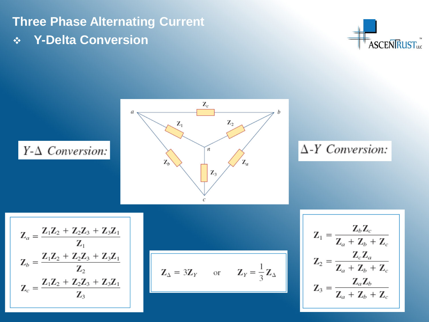**Y-Delta Conversion** 



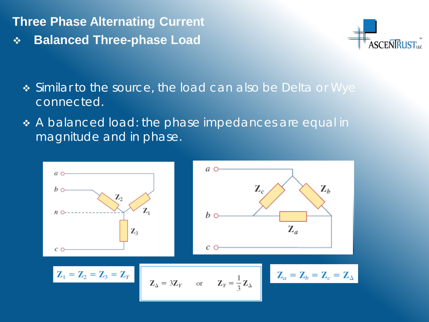**Balanced Three-phase Load** 



- Similar to the source, the load can also be Delta or Wye connected.
- \* A balanced load: the phase impedances are equal in magnitude and in phase.

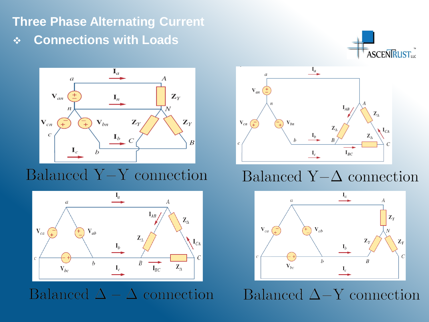## **Three Phase Alternating Current Connections with Loads**





# Balanced Y-Y connection



Balanced  $\Delta - \Delta$  connection



# Balanced Y- $\Delta$  connection



Balanced  $\Delta-Y$  connection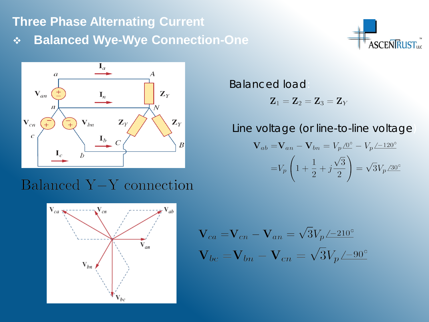**Balanced Wye-Wye Connection-One** 





## Balanced Y-Y connection



Balanced load:

$$
\mathbf{Z}_1 = \mathbf{Z}_2 = \mathbf{Z}_3 = \mathbf{Z}_Y
$$

#### Line voltage (or line-to-line voltage)

$$
\mathbf{V}_{ab} = \mathbf{V}_{an} - \mathbf{V}_{bn} = V_p \underline{\mathcal{O}^{\circ}} - V_p \underline{\mathcal{L}^{-120^{\circ}}}
$$

$$
= V_p \left( 1 + \frac{1}{2} + j \frac{\sqrt{3}}{2} \right) = \sqrt{3} V_p \underline{\mathcal{A}^{0^{\circ}}}
$$

$$
\mathbf{V}_{ca} = \mathbf{V}_{cn} - \mathbf{V}_{an} = \sqrt{3}V_p \angle 210^\circ
$$

$$
\mathbf{V}_{bc} = \mathbf{V}_{bn} - \mathbf{V}_{cn} = \sqrt{3}V_p \angle 90^\circ
$$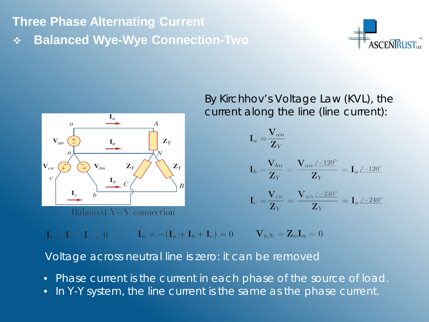**Balanced Wye-Wye Connection-Two** 





By Kirchhov's Voltage Law (KVL), the current along the line (line current):

$$
\mathbf{I}_a = \frac{\mathbf{V}_{an}}{\mathbf{Z}_Y}
$$

$$
\mathbf{I}_b = \frac{\mathbf{V}_{bn}}{\mathbf{Z}_Y} = \frac{\mathbf{V}_{an} \angle =120^\circ}{\mathbf{Z}_Y} = \mathbf{I}_a \angle =120^\circ
$$

$$
_{c}=\frac{\mathbf{V}_{cn}}{\mathbf{Z}_{Y}}=\frac{\mathbf{V}_{an}\angle=240^{\circ}}{\mathbf{Z}_{Y}}=\mathbf{I}_{a}\angle=240^{\circ}
$$

 $\mathbf{I}_a + \mathbf{I}_b + \mathbf{I}_c = 0$   $\mathbf{I}_n = -(\mathbf{I}_a + \mathbf{I}_b + \mathbf{I}_c) = 0$   $\mathbf{V}_{nN} = \mathbf{Z}_n \mathbf{I}_n = 0$ 

Voltage across neutral line is zero: it can be removed

- Phase current is the current in each phase of the source of load.
- In Y-Y system, the line current is the same as the phase current.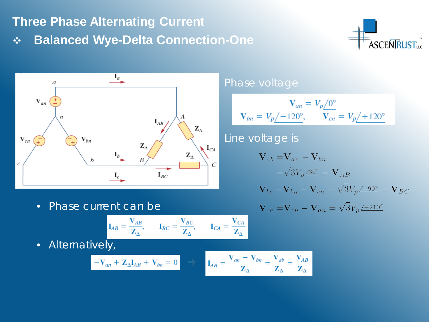**Balanced Wye-Delta Connection-One** 





#### • Phase current can be

$$
\mathbf{I}_{AB} = \frac{\mathbf{V}_{AB}}{\mathbf{Z}_{\Delta}}, \qquad \mathbf{I}_{BC} = \frac{\mathbf{V}_{BC}}{\mathbf{Z}_{\Delta}}, \qquad \mathbf{I}_{CA} = \frac{\mathbf{V}_{CA}}{\mathbf{Z}_{\Delta}}
$$

• Alternatively,

$$
-\mathbf{V}_{an} + \mathbf{Z}_{\Delta} \mathbf{I}_{AB} + \mathbf{V}_{bn} = 0 \quad \Rightarrow \quad \mathbf{I}_{AB} = \frac{\mathbf{V}_{an} - \mathbf{V}_{bn}}{\mathbf{Z}_{\Delta}} = \frac{\mathbf{V}_{ab}}{\mathbf{Z}_{\Delta}} = \frac{\mathbf{V}_{AB}}{\mathbf{Z}_{\Delta}}
$$

#### Phase voltage

$$
\mathbf{V}_{an} = V_p \underline{/0^{\circ}} \mathbf{V}_{on} = V_p \underline{/ -120^{\circ}}, \qquad \mathbf{V}_{cn} = V_p \underline{/ +120^{\circ}}
$$

### Line voltage is

$$
\mathbf{V}_{ab} = \mathbf{V}_{an} - \mathbf{V}_{bn}
$$
  
=  $\sqrt{3}V_p/30^\circ$  =  $\mathbf{V}_{AB}$   

$$
\mathbf{V}_{bc} = \mathbf{V}_{bn} - \mathbf{V}_{cn} = \sqrt{3}V_p/90^\circ = \mathbf{V}_{BC}
$$
  

$$
\mathbf{V}_{ca} = \mathbf{V}_{cn} - \mathbf{V}_{an} = \sqrt{3}V_p/900^\circ
$$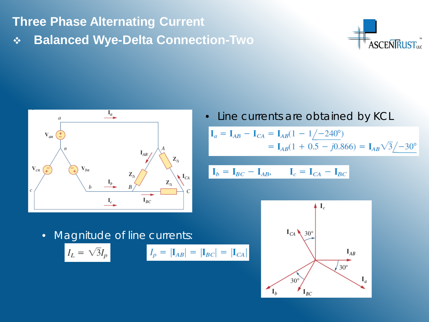**Balanced Wye-Delta Connection-Two** 





Line currents are obtained by KCL

$$
\mathbf{I}_a = \mathbf{I}_{AB} - \mathbf{I}_{CA} = \mathbf{I}_{AB}(1 - 1/-240^\circ)
$$
  
=  $\mathbf{I}_{AB}(1 + 0.5 - j0.866) = \mathbf{I}_{AB}\sqrt{3}/-30^\circ$ 

$$
\mathbf{I}_b = \mathbf{I}_{BC} - \mathbf{I}_{AB}, \qquad \mathbf{I}_c = \mathbf{I}_{CA} - \mathbf{I}_{BC}
$$

• Magnitude of line currents:

$$
I_L = \sqrt{3}I_p
$$

$$
I_p = |\mathbf{I}_{AB}| = |\mathbf{I}_{BC}| = |\mathbf{I}_{CA}|
$$

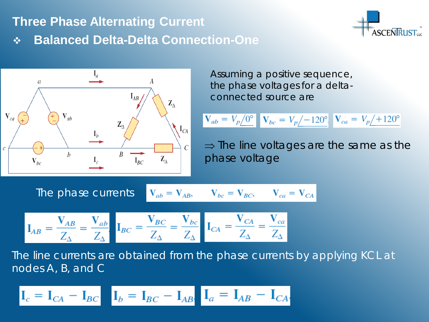# **Balanced Delta-Delta Connection-One**





Assuming a positive sequence, the phase voltages for a deltaconnected source are

$$
V_{ab} = V_p \angle 0^{\circ}
$$
  $\mathbf{V}_{bc} = V_p \angle -120^{\circ}$   $\mathbf{V}_{ca} = V_p \angle +120^{\circ}$ 

 $\Rightarrow$  The line voltages are the same as the phase voltage

The phase currents  $V_{ab} = V_{AB}$ ,  $V_{bc} = V_{BC}$ ,  $V_{ca} = V_{CA}$ 

$$
\mathbf{I}_{AB} = \frac{\mathbf{V}_{AB}}{Z_{\Delta}} = \frac{\mathbf{V}_{ab}}{Z_{\Delta}} \mathbf{I}_{BC} = \frac{\mathbf{V}_{BC}}{Z_{\Delta}} = \frac{\mathbf{V}_{bc}}{Z_{\Delta}} \mathbf{I}_{CA} = \frac{\mathbf{V}_{CA}}{Z_{\Delta}} = \frac{\mathbf{V}_{ca}}{Z_{\Delta}}
$$

The line currents are obtained from the phase currents by applying KCL at nodes *A*, *B*, and *C*

$$
\mathbf{I}_c = \mathbf{I}_{CA} - \mathbf{I}_{BC} \quad \mathbf{I}_b = \mathbf{I}_{BC} - \mathbf{I}_{AB} \quad \mathbf{I}_a = \mathbf{I}_{AB} - \mathbf{I}_{CA}
$$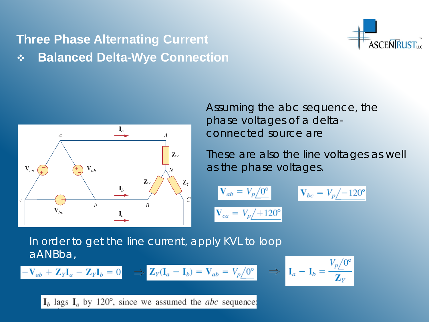## **Three Phase Alternating Current Balanced Delta-Wye Connection**





Assuming the *abc* sequence, the phase voltages of a deltaconnected source are

These are also the line voltages as well as the phase voltages.

$$
\mathbf{V}_{ab} = V_p \underline{\hspace{1cm}} \begin{cases} 0^{\circ} \\ V_{bc} = V_p \underline{\hspace{1cm}} - 120^{\circ} \end{cases}
$$
\n
$$
\mathbf{V}_{ca} = V_p \underline{\hspace{1cm}} + 120^{\circ}
$$

In order to get the line current, apply KVL to loop *aANBba,* 

$$
-\mathbf{V}_{ab} + \mathbf{Z}_{Y}\mathbf{I}_{a} - \mathbf{Z}_{Y}\mathbf{I}_{b} = 0 \Rightarrow \mathbf{Z}_{Y}(\mathbf{I}_{a} - \mathbf{I}_{b}) = \mathbf{V}_{ab} = V_{p}\underline{/0^{\circ}}
$$

$$
\Rightarrow \quad \mathbf{I}_a - \mathbf{I}_b = \frac{V_p/0^{\circ}}{\mathbf{Z}_Y}
$$

 $I_b$  lags  $I_a$  by 120°, since we assumed the *abc* sequence: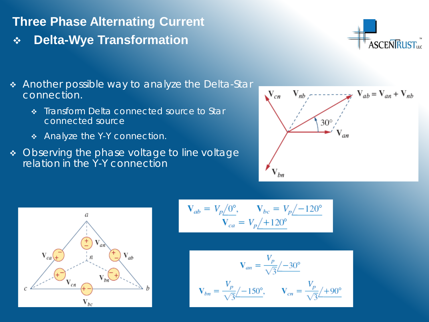### **Delta-Wye Transformation**



- Another possible way to analyze the Delta-Star connection.
	- **\*** Transform Delta connected source to Star connected source
	- \* Analyze the Y-Y connection.
- Observing the phase voltage to line voltage relation in the Y-Y connection





$$
\mathbf{V}_{ab} = V_p \underline{\smash{\big)}\,0^{\circ}}, \qquad \mathbf{V}_{bc} = V_p \underline{\smash{\big)}\,120^{\circ}}\\ \mathbf{V}_{ca} = V_p \underline{\smash{\big)}\,120^{\circ}}
$$

$$
\mathbf{V}_{an} = \frac{V_p}{\sqrt{3}} \angle -30^{\circ}
$$

$$
\mathbf{V}_{bn} = \frac{V_p}{\sqrt{3}} \angle -150^{\circ}, \qquad \mathbf{V}_{cn} = \frac{V_p}{\sqrt{3}} \angle +90^{\circ}
$$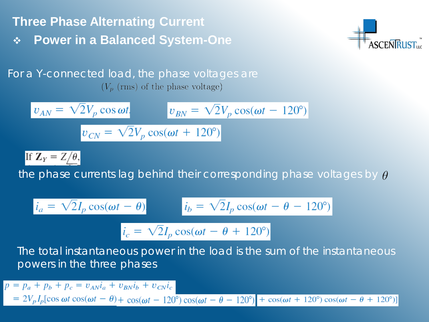**Three Phase Alternating Current Power in a Balanced System-One** 



For a Y-connected load, the phase voltages are  $(V_p$  (rms) of the phase voltage)

$$
v_{AN} = \sqrt{2}V_p \cos \omega t, \qquad v_{BN} = \sqrt{2}V_p \cos(\omega t - 120^\circ)
$$

$$
v_{CN} = \sqrt{2}V_p \cos(\omega t + 120^\circ)
$$

If  $\mathbf{Z}_Y = Z/\theta$ ,

the phase currents lag behind their corresponding phase voltages by  $\theta$ 

$$
i_a = \sqrt{2}I_p \cos(\omega t - \theta)
$$
  $i_b = \sqrt{2}I_p \cos(\omega t - \theta - 120^\circ)$ 

$$
i_c = \sqrt{2}I_p \cos(\omega t - \theta + 120^\circ)
$$

The total instantaneous power in the load is the sum of the instantaneous powers in the three phases

$$
p = p_a + p_b + p_c = v_{AN}i_a + v_{BN}i_b + v_{CN}i_c
$$
  
=  $2V_pI_p[\cos \omega t \cos(\omega t - \theta) + \cos(\omega t - 120^\circ) \cos(\omega t - \theta - 120^\circ)] + \cos(\omega t + 120^\circ) \cos(\omega t - \theta + 120^\circ)]$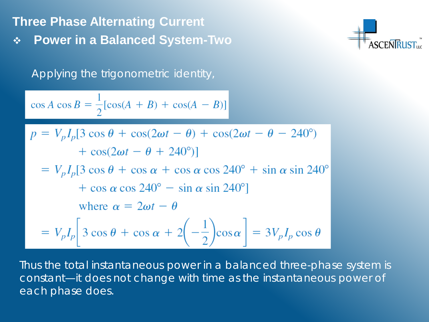**Power in a Balanced System-Two** 

Applying the trigonometric identity,

$$
\cos A \cos B = \frac{1}{2} [\cos(A + B) + \cos(A - B)]
$$

$$
p = V_p I_p [3 \cos \theta + \cos(2\omega t - \theta) + \cos(2\omega t - \theta - 240^\circ)
$$
  
+  $\cos(2\omega t - \theta + 240^\circ)$ ]  
=  $V_p I_p [3 \cos \theta + \cos \alpha + \cos \alpha \cos 240^\circ + \sin \alpha \sin 240^\circ$   
+  $\cos \alpha \cos 240^\circ - \sin \alpha \sin 240^\circ]$   
where  $\alpha = 2\omega t - \theta$   
=  $V_p I_p [3 \cos \theta + \cos \alpha + 2(-\frac{1}{2})\cos \alpha] = 3V_p I_p \cos \theta$ 

Thus the total instantaneous power in a balanced three-phase system is constant—it does not change with time as the instantaneous power of each phase does.

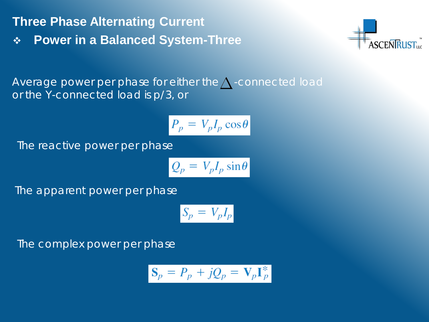**Power in a Balanced System-Three** 



Average power per phase for either the  $\bigwedge$  -connected load or the Y-connected load is *p*/3, or

$$
P_p = V_p I_p \cos \theta
$$

The reactive power per phase

$$
Q_p = V_p I_p \sin \theta
$$

The apparent power per phase

$$
S_p = V_p I_p
$$

The complex power per phase

$$
\mathbf{S}_p = P_p + jQ_p = \mathbf{V}_p \mathbf{I}_p^*
$$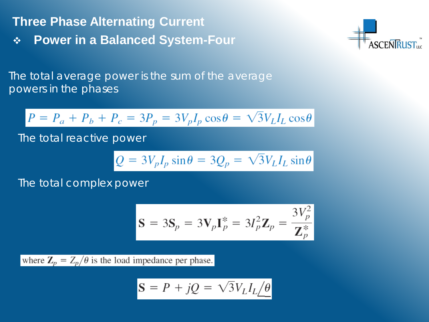**Power in a Balanced System-Four** 



The total average power is the sum of the average powers in the phases

$$
P = P_a + P_b + P_c = 3P_p = 3V_p I_p \cos \theta = \sqrt{3} V_L I_L \cos \theta
$$

The total reactive power

$$
Q = 3V_p I_p \sin \theta = 3Q_p = \sqrt{3} V_L I_L \sin \theta
$$

The total complex power

$$
\mathbf{S} = 3\mathbf{S}_p = 3\mathbf{V}_p \mathbf{I}_p^* = 3I_p^2 \mathbf{Z}_p = \frac{3V_p^2}{\mathbf{Z}_p^*}
$$

where  $\mathbf{Z}_p = Z_p/\theta$  is the load impedance per phase.

$$
\mathbf{S} = P + jQ = \sqrt{3}V_L I_L \underline{\neq \theta}
$$